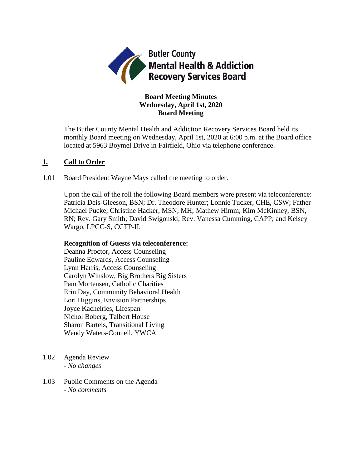

# **Board Meeting Minutes Wednesday, April 1st, 2020 Board Meeting**

The Butler County Mental Health and Addiction Recovery Services Board held its monthly Board meeting on Wednesday, April 1st, 2020 at 6:00 p.m. at the Board office located at 5963 Boymel Drive in Fairfield, Ohio via telephone conference.

## **1. Call to Order**

1.01 Board President Wayne Mays called the meeting to order.

Upon the call of the roll the following Board members were present via teleconference: Patricia Deis-Gleeson, BSN; Dr. Theodore Hunter; Lonnie Tucker, CHE, CSW; Father Michael Pucke; Christine Hacker, MSN, MH; Mathew Himm; Kim McKinney, BSN, RN; Rev. Gary Smith; David Swigonski; Rev. Vanessa Cumming, CAPP; and Kelsey Wargo, LPCC-S, CCTP-II.

#### **Recognition of Guests via teleconference:**

Deanna Proctor, Access Counseling Pauline Edwards, Access Counseling Lynn Harris, Access Counseling Carolyn Winslow, Big Brothers Big Sisters Pam Mortensen, Catholic Charities Erin Day, Community Behavioral Health Lori Higgins, Envision Partnerships Joyce Kachelries, Lifespan Nichol Boberg, Talbert House Sharon Bartels, Transitional Living Wendy Waters-Connell, YWCA

- 1.02 Agenda Review *- No changes*
- 1.03 Public Comments on the Agenda - *No comments*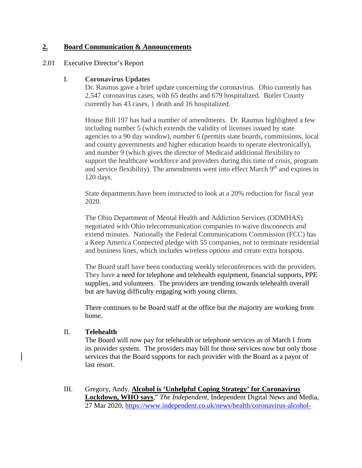## **2. Board Communication & Announcements**

#### 2.01 Executive Director's Report

#### I. **Coronavirus Updates**

Dr. Rasmus gave a brief update concerning the coronavirus. Ohio currently has 2,547 coronavirus cases, with 65 deaths and 679 hospitalized. Butler County currently has 43 cases, 1 death and 16 hospitalized.

House Bill 197 has had a number of amendments. Dr. Rasmus highlighted a few including number 5 (which extends the validity of licenses issued by state agencies to a 90 day window), number 6 (permits state boards, commissions, local and county governments and higher education boards to operate electronically), and number 9 (which gives the director of Medicaid additional flexibility to support the healthcare workforce and providers during this time of crisis, program and service flexibility). The amendments went into effect March  $9<sup>th</sup>$  and expires in 120 days.

State departments have been instructed to look at a 20% reduction for fiscal year 2020.

The Ohio Department of Mental Health and Addiction Services (ODMHAS) negotiated with Ohio telecommunication companies to waive disconnects and extend minutes. Nationally the Federal Communications Commission (FCC) has a Keep America Connected pledge with 55 companies, not to terminate residential and business lines, which includes wireless options and create extra hotspots.

The Board staff have been conducting weekly teleconferences with the providers. They have a need for telephone and telehealth equipment, financial supports, PPE supplies, and volunteers. The providers are trending towards telehealth overall but are having difficulty engaging with young clients.

There continues to be Board staff at the office but the majority are working from home.

#### II. **Telehealth**

The Board will now pay for telehealth or telephone services as of March 1 from its provider system. The providers may bill for those services now but only those services that the Board supports for each provider with the Board as a payor of last resort.

III. Gregory, Andy. **Alcohol is 'Unhelpful Coping Strategy' for Coronavirus Lockdown, WHO says**," *The Independent*, Independent Digital News and Media, 27 Mar 2020, [https://www.independent.co.uk/news/health/coronavirus-alcohol-](https://www.independent.co.uk/news/health/coronavirus-alcohol-world-health-organisation-drugs-addiction-mental-health-lockdown-a9428546.html)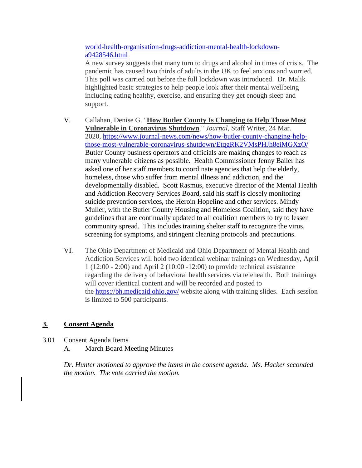[world-health-organisation-drugs-addiction-mental-health-lockdown](https://www.independent.co.uk/news/health/coronavirus-alcohol-world-health-organisation-drugs-addiction-mental-health-lockdown-a9428546.html)[a9428546.html](https://www.independent.co.uk/news/health/coronavirus-alcohol-world-health-organisation-drugs-addiction-mental-health-lockdown-a9428546.html)

A new survey suggests that many turn to drugs and alcohol in times of crisis. The pandemic has caused two thirds of adults in the UK to feel anxious and worried. This poll was carried out before the full lockdown was introduced. Dr. Malik highlighted basic strategies to help people look after their mental wellbeing including eating healthy, exercise, and ensuring they get enough sleep and support.

- V. Callahan, Denise G. "**How Butler County Is Changing to Help Those Most Vulnerable in Coronavirus Shutdown**." *Journal*, Staff Writer, 24 Mar. 2020, [https://www.journal-news.com/news/how-butler-county-changing-help](https://www.journal-news.com/news/how-butler-county-changing-help-those-most-vulnerable-coronavirus-shutdown/EtqgRK2VMsPHJh8eiMGXzO/)[those-most-vulnerable-coronavirus-shutdown/EtqgRK2VMsPHJh8eiMGXzO/](https://www.journal-news.com/news/how-butler-county-changing-help-those-most-vulnerable-coronavirus-shutdown/EtqgRK2VMsPHJh8eiMGXzO/)  Butler County business operators and officials are making changes to reach as many vulnerable citizens as possible. Health Commissioner Jenny Bailer has asked one of her staff members to coordinate agencies that help the elderly, homeless, those who suffer from mental illness and addiction, and the developmentally disabled. Scott Rasmus, executive director of the Mental Health and Addiction Recovery Services Board, said his staff is closely monitoring suicide prevention services, the Heroin Hopeline and other services. Mindy Muller, with the Butler County Housing and Homeless Coalition, said they have guidelines that are continually updated to all coalition members to try to lessen community spread. This includes training shelter staff to recognize the virus, screening for symptoms, and stringent cleaning protocols and precautions.
- VI. The Ohio Department of Medicaid and Ohio Department of Mental Health and Addiction Services will hold two identical webinar trainings on Wednesday, April 1 (12:00 - 2:00) and April 2 (10:00 -12:00) to provide technical assistance regarding the delivery of behavioral health services via telehealth. Both trainings will cover identical content and will be recorded and posted to the <https://bh.medicaid.ohio.gov/> website along with training slides. Each session is limited to 500 participants.

# **3. Consent Agenda**

3.01 Consent Agenda Items A. March Board Meeting Minutes

> *Dr. Hunter motioned to approve the items in the consent agenda. Ms. Hacker seconded the motion. The vote carried the motion.*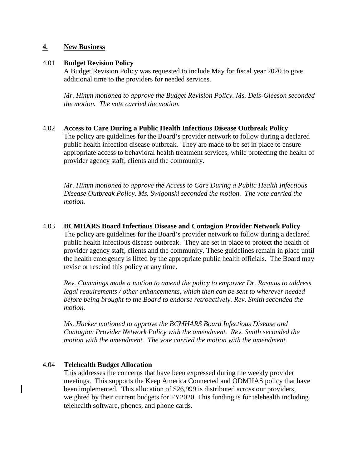## **4. New Business**

#### 4.01 **Budget Revision Policy**

A Budget Revision Policy was requested to include May for fiscal year 2020 to give additional time to the providers for needed services.

*Mr. Himm motioned to approve the Budget Revision Policy. Ms. Deis-Gleeson seconded the motion. The vote carried the motion.*

#### 4.02 **Access to Care During a Public Health Infectious Disease Outbreak Policy**

The policy are guidelines for the Board's provider network to follow during a declared public health infection disease outbreak. They are made to be set in place to ensure appropriate access to behavioral health treatment services, while protecting the health of provider agency staff, clients and the community.

*Mr. Himm motioned to approve the Access to Care During a Public Health Infectious Disease Outbreak Policy. Ms. Swigonski seconded the motion. The vote carried the motion.*

#### 4.03 **BCMHARS Board Infectious Disease and Contagion Provider Network Policy**

The policy are guidelines for the Board's provider network to follow during a declared public health infectious disease outbreak. They are set in place to protect the health of provider agency staff, clients and the community. These guidelines remain in place until the health emergency is lifted by the appropriate public health officials. The Board may revise or rescind this policy at any time.

*Rev. Cummings made a motion to amend the policy to empower Dr. Rasmus to address legal requirements / other enhancements, which then can be sent to wherever needed before being brought to the Board to endorse retroactively. Rev. Smith seconded the motion.*

*Ms. Hacker motioned to approve the BCMHARS Board Infectious Disease and Contagion Provider Network Policy with the amendment. Rev. Smith seconded the motion with the amendment. The vote carried the motion with the amendment.*

#### 4.04 **Telehealth Budget Allocation**

This addresses the concerns that have been expressed during the weekly provider meetings. This supports the Keep America Connected and ODMHAS policy that have been implemented. This allocation of \$26,999 is distributed across our providers, weighted by their current budgets for FY2020. This funding is for telehealth including telehealth software, phones, and phone cards.